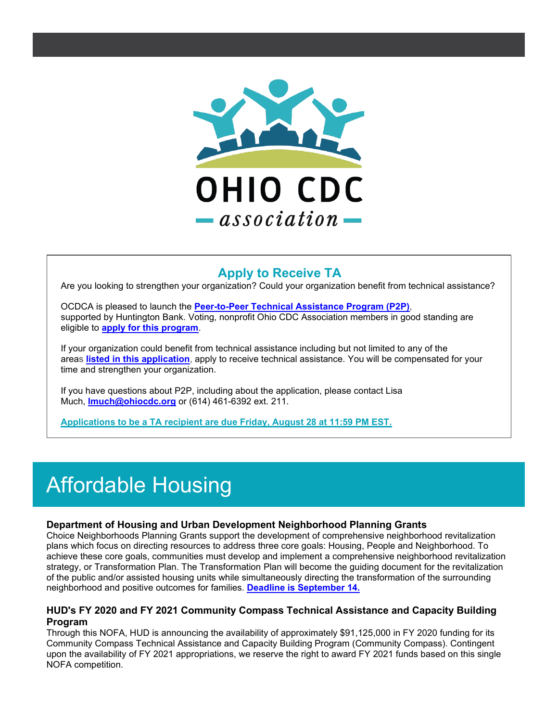

#### **Apply to Receive TA**

Are you looking to strengthen your organization? Could your organization benefit from technical assistance?

OCDCA is pleased to launch the **[Peer-to-Peer Technical Assistance Program \(P2P\)](https://urldefense.com/v3/__http:/r20.rs6.net/tn.jsp?f=001h9vyfzol1BSEIS-mBzjpra-WVxQ-ddQJE_1yQh72iR6qs0mhRQQMUy2zqht_uNuZ3rJvE4fABtwh4kipnwJw2gsCq05Tj-DLPiGLGRt5SHpmDsEUJZyTzQ9LtbRdLPxiHOvjAg9t3_XzcSN0v04-4Y1e6Wo7ThZT184j-tDG_pVGKgaonVBCmy7MUklyjfic-97Kb5Mu1gM8EAPv3PfiHA==&c=QtFFxOhY9hN3_Ei1utBzZbbCYOKXyGTIpHbA7dJezGAITs5-38N42A==&ch=Ai6ltNs1cEnwmvB4LVP_OJYhQkrgJg1h_GLiAD8-PzQFdbamti9UgQ==__;!!KGKeukY!j54IRA47F6L7ZJUPSLUxMn31QQxfgWXZjIlvDHedFIJzSjUjODv-i32TO0-tQYDLRg$)**, supported by Huntington Bank. Voting, nonprofit Ohio CDC Association members in good standing are eligible to **[apply for this program](https://urldefense.com/v3/__http:/r20.rs6.net/tn.jsp?f=001h9vyfzol1BSEIS-mBzjpra-WVxQ-ddQJE_1yQh72iR6qs0mhRQQMU9Dw9clwEzm4Yk-oMuI9x6JFkjBQ5LZQsV0jCUWbs6neRdo-bOsqAyC1nY6Mh_4fa0MhgtfoQBrLLu-NsL-okvbBFT4rT028-t0yrGwdE8jPEp1o3HEC9aYp7QUOp67rhUwY6370mLI03Tp5ea6Lf3Q=&c=QtFFxOhY9hN3_Ei1utBzZbbCYOKXyGTIpHbA7dJezGAITs5-38N42A==&ch=Ai6ltNs1cEnwmvB4LVP_OJYhQkrgJg1h_GLiAD8-PzQFdbamti9UgQ==__;!!KGKeukY!j54IRA47F6L7ZJUPSLUxMn31QQxfgWXZjIlvDHedFIJzSjUjODv-i32TO09O6DkVHQ$)**.

If your organization could benefit from technical assistance including but not limited to any of the areas **[listed in this application](https://urldefense.com/v3/__http:/r20.rs6.net/tn.jsp?f=001h9vyfzol1BSEIS-mBzjpra-WVxQ-ddQJE_1yQh72iR6qs0mhRQQMU9Dw9clwEzm4Yk-oMuI9x6JFkjBQ5LZQsV0jCUWbs6neRdo-bOsqAyC1nY6Mh_4fa0MhgtfoQBrLLu-NsL-okvbBFT4rT028-t0yrGwdE8jPEp1o3HEC9aYp7QUOp67rhUwY6370mLI03Tp5ea6Lf3Q=&c=QtFFxOhY9hN3_Ei1utBzZbbCYOKXyGTIpHbA7dJezGAITs5-38N42A==&ch=Ai6ltNs1cEnwmvB4LVP_OJYhQkrgJg1h_GLiAD8-PzQFdbamti9UgQ==__;!!KGKeukY!j54IRA47F6L7ZJUPSLUxMn31QQxfgWXZjIlvDHedFIJzSjUjODv-i32TO09O6DkVHQ$)**, apply to receive technical assistance. You will be compensated for your time and strengthen your organization.

If you have questions about P2P, including about the application, please contact Lisa Much, **[lmuch@ohiocdc.org](mailto:lmuch@ohiocdc.org)** or (614) 461-6392 ext. 211.

**[Applications to be a TA recipient are due Friday, August 28 at 11:59 PM EST.](https://urldefense.com/v3/__http:/r20.rs6.net/tn.jsp?f=001h9vyfzol1BSEIS-mBzjpra-WVxQ-ddQJE_1yQh72iR6qs0mhRQQMU9Dw9clwEzm4Yk-oMuI9x6JFkjBQ5LZQsV0jCUWbs6neRdo-bOsqAyC1nY6Mh_4fa0MhgtfoQBrLLu-NsL-okvbBFT4rT028-t0yrGwdE8jPEp1o3HEC9aYp7QUOp67rhUwY6370mLI03Tp5ea6Lf3Q=&c=QtFFxOhY9hN3_Ei1utBzZbbCYOKXyGTIpHbA7dJezGAITs5-38N42A==&ch=Ai6ltNs1cEnwmvB4LVP_OJYhQkrgJg1h_GLiAD8-PzQFdbamti9UgQ==__;!!KGKeukY!j54IRA47F6L7ZJUPSLUxMn31QQxfgWXZjIlvDHedFIJzSjUjODv-i32TO09O6DkVHQ$)**

# Affordable Housing

#### **Department of Housing and Urban Development Neighborhood Planning Grants**

Choice Neighborhoods Planning Grants support the development of comprehensive neighborhood revitalization plans which focus on directing resources to address three core goals: Housing, People and Neighborhood. To achieve these core goals, communities must develop and implement a comprehensive neighborhood revitalization strategy, or Transformation Plan. The Transformation Plan will become the guiding document for the revitalization of the public and/or assisted housing units while simultaneously directing the transformation of the surrounding neighborhood and positive outcomes for families. **[Deadline is September 14.](https://urldefense.com/v3/__http:/r20.rs6.net/tn.jsp?f=001h9vyfzol1BSEIS-mBzjpra-WVxQ-ddQJE_1yQh72iR6qs0mhRQQMU-ASuTMXW4EMf7XItErFcshdzR9Pg_kwg485-ky7-DvWOENV08XC9VYRGYYrhCx3NlLFRJoDpptS-541h_C2xPLWx-tkskeCShH6YvT6Zrnr5H_FPykuUafLxhB8YRVVlQmtkIBL8wPJQyiwKIPB9r3gsM3D2upW0xoexZvzdea6PAzNjLrXKxatHRZrcLDzZWdDJ9brlSdsTdO3G0jMu1w=&c=QtFFxOhY9hN3_Ei1utBzZbbCYOKXyGTIpHbA7dJezGAITs5-38N42A==&ch=Ai6ltNs1cEnwmvB4LVP_OJYhQkrgJg1h_GLiAD8-PzQFdbamti9UgQ==__;!!KGKeukY!j54IRA47F6L7ZJUPSLUxMn31QQxfgWXZjIlvDHedFIJzSjUjODv-i32TO0_GKjzGiA$)**

#### **HUD's FY 2020 and FY 2021 Community Compass Technical Assistance and Capacity Building Program**

Through this NOFA, HUD is announcing the availability of approximately \$91,125,000 in FY 2020 funding for its Community Compass Technical Assistance and Capacity Building Program (Community Compass). Contingent upon the availability of FY 2021 appropriations, we reserve the right to award FY 2021 funds based on this single NOFA competition.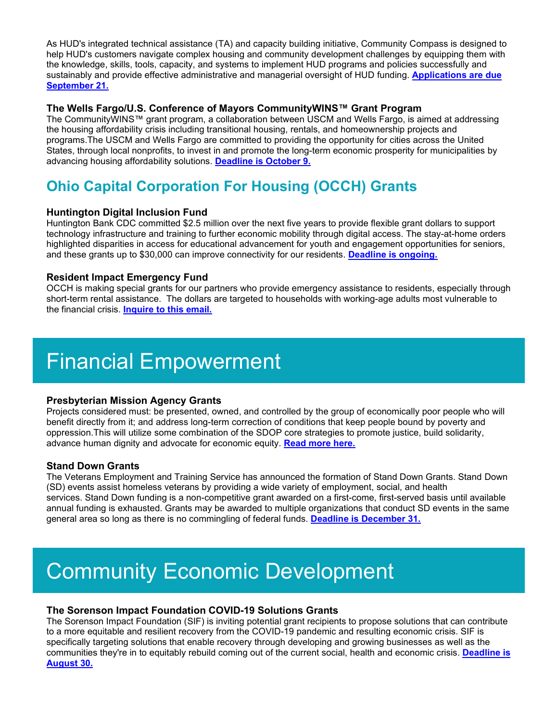As HUD's integrated technical assistance (TA) and capacity building initiative, Community Compass is designed to help HUD's customers navigate complex housing and community development challenges by equipping them with the knowledge, skills, tools, capacity, and systems to implement HUD programs and policies successfully and sustainably and provide effective administrative and managerial oversight of HUD funding. **[Applications are due](https://urldefense.com/v3/__http:/r20.rs6.net/tn.jsp?f=001h9vyfzol1BSEIS-mBzjpra-WVxQ-ddQJE_1yQh72iR6qs0mhRQQMU_BE_2e0OL95zwiTEWlerseWodFMzdyN8XpilRdh_mzDMlxFSe2Xjs7238HKFTskJ-rehRMeLWCla52Wbt4_sOsx0vkn8U6iIPdSJtCdnac9QR2EUsHx8F_8U-Snnr3ODZqrLBfLm2YrZWZwCaIELii5RzgLGzdFxmg4UO_mWfwQfagC6D922z522peYcSjrXYLyWPCPGq_xCoU_zJU0sE8=&c=QtFFxOhY9hN3_Ei1utBzZbbCYOKXyGTIpHbA7dJezGAITs5-38N42A==&ch=Ai6ltNs1cEnwmvB4LVP_OJYhQkrgJg1h_GLiAD8-PzQFdbamti9UgQ==__;!!KGKeukY!j54IRA47F6L7ZJUPSLUxMn31QQxfgWXZjIlvDHedFIJzSjUjODv-i32TO08bxxcVtw$)  [September 21.](https://urldefense.com/v3/__http:/r20.rs6.net/tn.jsp?f=001h9vyfzol1BSEIS-mBzjpra-WVxQ-ddQJE_1yQh72iR6qs0mhRQQMU_BE_2e0OL95zwiTEWlerseWodFMzdyN8XpilRdh_mzDMlxFSe2Xjs7238HKFTskJ-rehRMeLWCla52Wbt4_sOsx0vkn8U6iIPdSJtCdnac9QR2EUsHx8F_8U-Snnr3ODZqrLBfLm2YrZWZwCaIELii5RzgLGzdFxmg4UO_mWfwQfagC6D922z522peYcSjrXYLyWPCPGq_xCoU_zJU0sE8=&c=QtFFxOhY9hN3_Ei1utBzZbbCYOKXyGTIpHbA7dJezGAITs5-38N42A==&ch=Ai6ltNs1cEnwmvB4LVP_OJYhQkrgJg1h_GLiAD8-PzQFdbamti9UgQ==__;!!KGKeukY!j54IRA47F6L7ZJUPSLUxMn31QQxfgWXZjIlvDHedFIJzSjUjODv-i32TO08bxxcVtw$)**

#### **The Wells Fargo/U.S. Conference of Mayors CommunityWINS™ Grant Program**

The CommunityWINS™ grant program, a collaboration between USCM and Wells Fargo, is aimed at addressing the housing affordability crisis including transitional housing, rentals, and homeownership projects and programs.The USCM and Wells Fargo are committed to providing the opportunity for cities across the United States, through local nonprofits, to invest in and promote the long-term economic prosperity for municipalities by advancing housing affordability solutions. **[Deadline is October 9.](https://urldefense.com/v3/__http:/r20.rs6.net/tn.jsp?f=001h9vyfzol1BSEIS-mBzjpra-WVxQ-ddQJE_1yQh72iR6qs0mhRQQMU4Zbyfm41VcN5dBAuWA4oZoN5d1vUfxb4R9Gv2vZfOP23BRWDxMKK-o4HlYCvop0yfCcUYMCba3eg3nIXBSOQACXG5eCiR8IqhU-FzSZXHBbg6amF_KCP6R2Z-hnP96sVy5L4xJyPvc2&c=QtFFxOhY9hN3_Ei1utBzZbbCYOKXyGTIpHbA7dJezGAITs5-38N42A==&ch=Ai6ltNs1cEnwmvB4LVP_OJYhQkrgJg1h_GLiAD8-PzQFdbamti9UgQ==__;!!KGKeukY!j54IRA47F6L7ZJUPSLUxMn31QQxfgWXZjIlvDHedFIJzSjUjODv-i32TO08vS5Rauw$)**

### **Ohio Capital Corporation For Housing (OCCH) Grants**

#### **Huntington Digital Inclusion Fund**

Huntington Bank CDC committed \$2.5 million over the next five years to provide flexible grant dollars to support technology infrastructure and training to further economic mobility through digital access. The stay-at-home orders highlighted disparities in access for educational advancement for youth and engagement opportunities for seniors, and these grants up to \$30,000 can improve connectivity for our residents. **[Deadline is ongoing.](https://urldefense.com/v3/__http:/r20.rs6.net/tn.jsp?f=001h9vyfzol1BSEIS-mBzjpra-WVxQ-ddQJE_1yQh72iR6qs0mhRQQMU4reBBMNOhQYmwHXHdNndcH_1cyj5YE3dMgc-g7FsEWYZtd375qaoGbD40ECigqYJB8ih5gKSB8hd0i5GWK6IW-i_9QGkhtsjyp1XZX67r3WPp1CH6g0pP2TxSq1ghhSNhmOyPjpL7AkRGtNhR1ASR79qEVT5pWXiw==&c=QtFFxOhY9hN3_Ei1utBzZbbCYOKXyGTIpHbA7dJezGAITs5-38N42A==&ch=Ai6ltNs1cEnwmvB4LVP_OJYhQkrgJg1h_GLiAD8-PzQFdbamti9UgQ==__;!!KGKeukY!j54IRA47F6L7ZJUPSLUxMn31QQxfgWXZjIlvDHedFIJzSjUjODv-i32TO09tzjpQdg$)**

#### **Resident Impact Emergency Fund**

OCCH is making special grants for our partners who provide emergency assistance to residents, especially through short-term rental assistance. The dollars are targeted to households with working-age adults most vulnerable to the financial crisis. **[Inquire to this email.](mailto:ResidentImpactEmergencyFundOCIC@occh.org)**

## Financial Empowerment

#### **Presbyterian Mission Agency Grants**

Projects considered must: be presented, owned, and controlled by the group of economically poor people who will benefit directly from it; and address long-term correction of conditions that keep people bound by poverty and oppression.This will utilize some combination of the SDOP core strategies to promote justice, build solidarity, advance human dignity and advocate for economic equity. **[Read more here.](https://urldefense.com/v3/__http:/r20.rs6.net/tn.jsp?f=001h9vyfzol1BSEIS-mBzjpra-WVxQ-ddQJE_1yQh72iR6qs0mhRQQMU4ShOsEN-xWmEH8ypT6k_EeWpebBSii6b8H4YfbBI_X7mjgdK5Fd9FZD3whihTyO1vl5CKMuTbB9krRTXwYoNcJ7uva8vGCPMua7bOMfp1vFXghzTZYsI5SON2cBsdJz06Pg-VAGE3wCE-R_Hb0Ec7oi0NCGFW93TNcx8bqknrzKazf4emVxLgc=&c=QtFFxOhY9hN3_Ei1utBzZbbCYOKXyGTIpHbA7dJezGAITs5-38N42A==&ch=Ai6ltNs1cEnwmvB4LVP_OJYhQkrgJg1h_GLiAD8-PzQFdbamti9UgQ==__;!!KGKeukY!j54IRA47F6L7ZJUPSLUxMn31QQxfgWXZjIlvDHedFIJzSjUjODv-i32TO0_qvWQ8Yw$)**

#### **Stand Down Grants**

The Veterans Employment and Training Service has announced the formation of Stand Down Grants. Stand Down (SD) events assist homeless veterans by providing a wide variety of employment, social, and health services. Stand Down funding is a non-competitive grant awarded on a first-come, first-served basis until available annual funding is exhausted. Grants may be awarded to multiple organizations that conduct SD events in the same general area so long as there is no commingling of federal funds. **[Deadline is December 31.](https://urldefense.com/v3/__http:/r20.rs6.net/tn.jsp?f=001h9vyfzol1BSEIS-mBzjpra-WVxQ-ddQJE_1yQh72iR6qs0mhRQQMU3RxzuVer235p2giD6ZQ3S2bdr8USXdC1z_o33nZCxfpTBP5VppiO0vq3fIsWsKiaxGR_ncFQg5jhoMq_P_g_loWDUYhy7YhAdBehMqVWmjti8nKfqef7t94A2Pl7jwu0IkhCmx2pjsRU5FFqQ5bCJrXwbeKyk2GOEiLaAYV5i-YmaYtGdbLtUnLdEmYGfUyJw==&c=QtFFxOhY9hN3_Ei1utBzZbbCYOKXyGTIpHbA7dJezGAITs5-38N42A==&ch=Ai6ltNs1cEnwmvB4LVP_OJYhQkrgJg1h_GLiAD8-PzQFdbamti9UgQ==__;!!KGKeukY!j54IRA47F6L7ZJUPSLUxMn31QQxfgWXZjIlvDHedFIJzSjUjODv-i32TO08ESr_KuQ$)**

# Community Economic Development

#### **The Sorenson Impact Foundation COVID-19 Solutions Grants**

The Sorenson Impact Foundation (SIF) is inviting potential grant recipients to propose solutions that can contribute to a more equitable and resilient recovery from the COVID-19 pandemic and resulting economic crisis. SIF is specifically targeting solutions that enable recovery through developing and growing businesses as well as the communities they're in to equitably rebuild coming out of the current social, health and economic crisis. **[Deadline is](https://urldefense.com/v3/__http:/r20.rs6.net/tn.jsp?f=001h9vyfzol1BSEIS-mBzjpra-WVxQ-ddQJE_1yQh72iR6qs0mhRQQMU_BE_2e0OL95c9nXzSJ8ZT2Pl7SU_XHnovD7MK9wPl7Oe9NI9soRW5gQuOuEqsIQGpkcEBKkojRRGgm74mbWp8QUb9AbcZhuN7rAWc8x7prx98JzIQxBS9nok7csOcpmJRGFgn3Lp3mDhVJ8iWs_gPU=&c=QtFFxOhY9hN3_Ei1utBzZbbCYOKXyGTIpHbA7dJezGAITs5-38N42A==&ch=Ai6ltNs1cEnwmvB4LVP_OJYhQkrgJg1h_GLiAD8-PzQFdbamti9UgQ==__;!!KGKeukY!j54IRA47F6L7ZJUPSLUxMn31QQxfgWXZjIlvDHedFIJzSjUjODv-i32TO08nL5XM8Q$)  [August 30.](https://urldefense.com/v3/__http:/r20.rs6.net/tn.jsp?f=001h9vyfzol1BSEIS-mBzjpra-WVxQ-ddQJE_1yQh72iR6qs0mhRQQMU_BE_2e0OL95c9nXzSJ8ZT2Pl7SU_XHnovD7MK9wPl7Oe9NI9soRW5gQuOuEqsIQGpkcEBKkojRRGgm74mbWp8QUb9AbcZhuN7rAWc8x7prx98JzIQxBS9nok7csOcpmJRGFgn3Lp3mDhVJ8iWs_gPU=&c=QtFFxOhY9hN3_Ei1utBzZbbCYOKXyGTIpHbA7dJezGAITs5-38N42A==&ch=Ai6ltNs1cEnwmvB4LVP_OJYhQkrgJg1h_GLiAD8-PzQFdbamti9UgQ==__;!!KGKeukY!j54IRA47F6L7ZJUPSLUxMn31QQxfgWXZjIlvDHedFIJzSjUjODv-i32TO08nL5XM8Q$)**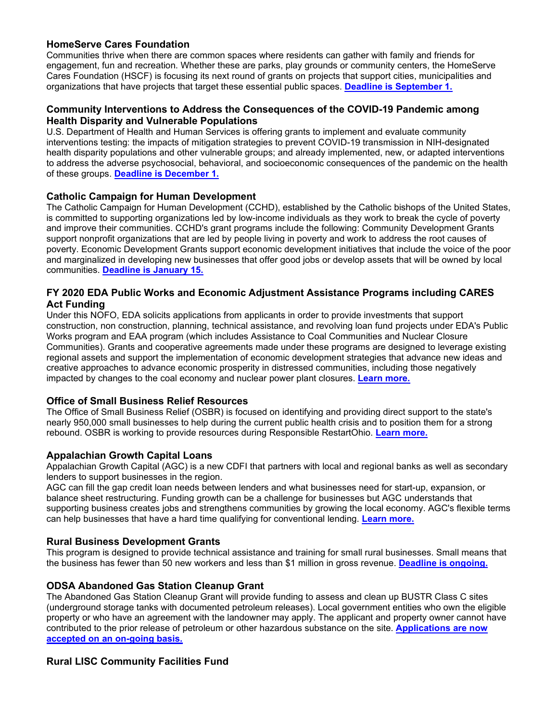#### **HomeServe Cares Foundation**

Communities thrive when there are common spaces where residents can gather with family and friends for engagement, fun and recreation. Whether these are parks, play grounds or community centers, the HomeServe Cares Foundation (HSCF) is focusing its next round of grants on projects that support cities, municipalities and organizations that have projects that target these essential public spaces. **[Deadline is September 1.](https://urldefense.com/v3/__http:/r20.rs6.net/tn.jsp?f=001h9vyfzol1BSEIS-mBzjpra-WVxQ-ddQJE_1yQh72iR6qs0mhRQQMU2ER8J4i69hUhR-csTSmPz81yHhxYvsGSDqmofqEBfX1xc6nnW9DlNWFwGvqf05TDw4SsW44_sj0HyiCkn-d7ncWRBpVQx4Minn9sB1bX-EJjmJVjU91OHC0XK6K_AIfQGRUc7VpDHWJCUuKseE77WTl9Qw8aCgTcxCoV7blvlVNm-RRMKyLCPMbsLv19VuxIg==&c=QtFFxOhY9hN3_Ei1utBzZbbCYOKXyGTIpHbA7dJezGAITs5-38N42A==&ch=Ai6ltNs1cEnwmvB4LVP_OJYhQkrgJg1h_GLiAD8-PzQFdbamti9UgQ==__;!!KGKeukY!j54IRA47F6L7ZJUPSLUxMn31QQxfgWXZjIlvDHedFIJzSjUjODv-i32TO08jEwjLFA$)**

#### **Community Interventions to Address the Consequences of the COVID-19 Pandemic among Health Disparity and Vulnerable Populations**

U.S. Department of Health and Human Services is offering grants to implement and evaluate community interventions testing: the impacts of mitigation strategies to prevent COVID-19 transmission in NIH-designated health disparity populations and other vulnerable groups; and already implemented, new, or adapted interventions to address the adverse psychosocial, behavioral, and socioeconomic consequences of the pandemic on the health of these groups. **[Deadline is December 1.](https://urldefense.com/v3/__http:/r20.rs6.net/tn.jsp?f=001h9vyfzol1BSEIS-mBzjpra-WVxQ-ddQJE_1yQh72iR6qs0mhRQQMU_BE_2e0OL95DRj2MPujje4DQgykpIYRTKoGr9-QQmLzUkeeX5pN6FXLF8NzxzF_vDft3U3gSpgcozm4PgrRY1R0_5GepCrMLkvl7nbkzvQVzdQOblSpAryndnPFOq-zu1ps0TL5kl7cToUcupmi7GtfMhGpP4ZEuTHK5nRE1IxHcMhtvb1Shhs=&c=QtFFxOhY9hN3_Ei1utBzZbbCYOKXyGTIpHbA7dJezGAITs5-38N42A==&ch=Ai6ltNs1cEnwmvB4LVP_OJYhQkrgJg1h_GLiAD8-PzQFdbamti9UgQ==__;!!KGKeukY!j54IRA47F6L7ZJUPSLUxMn31QQxfgWXZjIlvDHedFIJzSjUjODv-i32TO0_y4Ontuw$)**

#### **Catholic Campaign for Human Development**

The Catholic Campaign for Human Development (CCHD), established by the Catholic bishops of the United States, is committed to supporting organizations led by low-income individuals as they work to break the cycle of poverty and improve their communities. CCHD's grant programs include the following: Community Development Grants support nonprofit organizations that are led by people living in poverty and work to address the root causes of poverty. Economic Development Grants support economic development initiatives that include the voice of the poor and marginalized in developing new businesses that offer good jobs or develop assets that will be owned by local communities. **[Deadline is January 15.](https://urldefense.com/v3/__http:/r20.rs6.net/tn.jsp?f=001h9vyfzol1BSEIS-mBzjpra-WVxQ-ddQJE_1yQh72iR6qs0mhRQQMU_BE_2e0OL95hR_j4vU9GTIQGGz-cqGWFkAoqG0eOT8XEQJWYB0wwjr6uqefDG5M9W5mI8lUkL2CNla7kVTLhmRCYsIE4dmtHm2mx6dZmKcLgt29RyLlaXIAiyUPZ519FyzRGaUM29_iaxlVC_lcJ4RKJLYdeh3JiYm9L5iGVDxmwdXPFfC-Ksy78v1Q2-EbAw==&c=QtFFxOhY9hN3_Ei1utBzZbbCYOKXyGTIpHbA7dJezGAITs5-38N42A==&ch=Ai6ltNs1cEnwmvB4LVP_OJYhQkrgJg1h_GLiAD8-PzQFdbamti9UgQ==__;!!KGKeukY!j54IRA47F6L7ZJUPSLUxMn31QQxfgWXZjIlvDHedFIJzSjUjODv-i32TO0_sV0fhxw$)**

#### **FY 2020 EDA Public Works and Economic Adjustment Assistance Programs including CARES Act Funding**

Under this NOFO, EDA solicits applications from applicants in order to provide investments that support construction, non construction, planning, technical assistance, and revolving loan fund projects under EDA's Public Works program and EAA program (which includes Assistance to Coal Communities and Nuclear Closure Communities). Grants and cooperative agreements made under these programs are designed to leverage existing regional assets and support the implementation of economic development strategies that advance new ideas and creative approaches to advance economic prosperity in distressed communities, including those negatively impacted by changes to the coal economy and nuclear power plant closures. **[Learn more.](https://urldefense.com/v3/__http:/r20.rs6.net/tn.jsp?f=001h9vyfzol1BSEIS-mBzjpra-WVxQ-ddQJE_1yQh72iR6qs0mhRQQMU59b_rmKK5XhzZ-m5t9I9hkrJZ6VDOxujudOaUL5tojADwH3AQpfXlflZNHUNXtV8yf8QkxUymd67iQU_OB3D0r8yxTGIV4_4FzIT1SGAXb14MLKZQ2t0vchbUiHX-L75MLRfG26R3Z_9LuuwhdAoZYyzXZBYwfxu1wbiZnJI5_-3SvkCbDeHOIkYI9rOrXdew==&c=QtFFxOhY9hN3_Ei1utBzZbbCYOKXyGTIpHbA7dJezGAITs5-38N42A==&ch=Ai6ltNs1cEnwmvB4LVP_OJYhQkrgJg1h_GLiAD8-PzQFdbamti9UgQ==__;!!KGKeukY!j54IRA47F6L7ZJUPSLUxMn31QQxfgWXZjIlvDHedFIJzSjUjODv-i32TO085xugDHg$)**

#### **Office of Small Business Relief Resources**

The Office of Small Business Relief (OSBR) is focused on identifying and providing direct support to the state's nearly 950,000 small businesses to help during the current public health crisis and to position them for a strong rebound. OSBR is working to provide resources during Responsible RestartOhio. **[Learn more.](https://urldefense.com/v3/__http:/r20.rs6.net/tn.jsp?f=001h9vyfzol1BSEIS-mBzjpra-WVxQ-ddQJE_1yQh72iR6qs0mhRQQMU17oUiBN6bCoRwD8in0GtsQi9WNg2Ceq64FlJpA4MP8F9Tx81P63dmLyB_f_9J2PoAxDnU-9vXkWrk77meFNZv149yGomY3v8GUNtul0U0dDlXqx-IBzYG1ar04BeA9L1w==&c=QtFFxOhY9hN3_Ei1utBzZbbCYOKXyGTIpHbA7dJezGAITs5-38N42A==&ch=Ai6ltNs1cEnwmvB4LVP_OJYhQkrgJg1h_GLiAD8-PzQFdbamti9UgQ==__;!!KGKeukY!j54IRA47F6L7ZJUPSLUxMn31QQxfgWXZjIlvDHedFIJzSjUjODv-i32TO0-D2WfbpQ$)**

#### **Appalachian Growth Capital Loans**

Appalachian Growth Capital (AGC) is a new CDFI that partners with local and regional banks as well as secondary lenders to support businesses in the region.

AGC can fill the gap credit loan needs between lenders and what businesses need for start-up, expansion, or balance sheet restructuring. Funding growth can be a challenge for businesses but AGC understands that supporting business creates jobs and strengthens communities by growing the local economy. AGC's flexible terms can help businesses that have a hard time qualifying for conventional lending. **[Learn more.](https://urldefense.com/v3/__http:/r20.rs6.net/tn.jsp?f=001h9vyfzol1BSEIS-mBzjpra-WVxQ-ddQJE_1yQh72iR6qs0mhRQQMU3RxzuVer235ABt7A9nMpnZ-Tp2wqBwjBNm97C27oY2quhfsCjTQZQL3IhNEO5lrVJ2nmwkrLt828qSZQljfSdhzRFJeyZIcVTmdvCjzmoddPIuM468wXjg=&c=QtFFxOhY9hN3_Ei1utBzZbbCYOKXyGTIpHbA7dJezGAITs5-38N42A==&ch=Ai6ltNs1cEnwmvB4LVP_OJYhQkrgJg1h_GLiAD8-PzQFdbamti9UgQ==__;!!KGKeukY!j54IRA47F6L7ZJUPSLUxMn31QQxfgWXZjIlvDHedFIJzSjUjODv-i32TO09N7oE_sA$)**

#### **Rural Business Development Grants**

This program is designed to provide technical assistance and training for small rural businesses. Small means that the business has fewer than 50 new workers and less than \$1 million in gross revenue. **[Deadline is ongoing.](https://urldefense.com/v3/__http:/r20.rs6.net/tn.jsp?f=001h9vyfzol1BSEIS-mBzjpra-WVxQ-ddQJE_1yQh72iR6qs0mhRQQMU7o3BrsD7MxcRrhgFbnsd0efC6u9dhRLyU4Z4YLcFQS-2ptHFWQa_0ou4zn-2VJLJMYofFn2sD51uWUjVbQqk7_sCaUfv2D1GVLQRGzRe372CIKBZC7VP0zh1U56AKc8hrSaubQuAl2EKD8OPLrZsjOc65V8Gw0kB81AmTWKJNDHgR68hzdfHXxx37t4i0bJGjPFKez6c38V&c=QtFFxOhY9hN3_Ei1utBzZbbCYOKXyGTIpHbA7dJezGAITs5-38N42A==&ch=Ai6ltNs1cEnwmvB4LVP_OJYhQkrgJg1h_GLiAD8-PzQFdbamti9UgQ==__;!!KGKeukY!j54IRA47F6L7ZJUPSLUxMn31QQxfgWXZjIlvDHedFIJzSjUjODv-i32TO08z3JWVBg$)**

#### **ODSA Abandoned Gas Station Cleanup Grant**

The Abandoned Gas Station Cleanup Grant will provide funding to assess and clean up BUSTR Class C sites (underground storage tanks with documented petroleum releases). Local government entities who own the eligible property or who have an agreement with the landowner may apply. The applicant and property owner cannot have contributed to the prior release of petroleum or other hazardous substance on the site. **[Applications are now](https://urldefense.com/v3/__http:/r20.rs6.net/tn.jsp?f=001h9vyfzol1BSEIS-mBzjpra-WVxQ-ddQJE_1yQh72iR6qs0mhRQQMU0CKl7imcE6Gxm1FRWMB253hak-fJfSe2M0cyII880qNPJ2Ugum59AZiN-GE49yjv9sVe7WGFdQuMCeh0KLyihR3q4B4CGnDTIGeUnuJocTF5jtsw4wQqRWLkUHyYrtTG-N32wu6KpkKxRTjELA__yk=&c=QtFFxOhY9hN3_Ei1utBzZbbCYOKXyGTIpHbA7dJezGAITs5-38N42A==&ch=Ai6ltNs1cEnwmvB4LVP_OJYhQkrgJg1h_GLiAD8-PzQFdbamti9UgQ==__;!!KGKeukY!j54IRA47F6L7ZJUPSLUxMn31QQxfgWXZjIlvDHedFIJzSjUjODv-i32TO09I2OrCdQ$)  [accepted on an on-going basis.](https://urldefense.com/v3/__http:/r20.rs6.net/tn.jsp?f=001h9vyfzol1BSEIS-mBzjpra-WVxQ-ddQJE_1yQh72iR6qs0mhRQQMU0CKl7imcE6Gxm1FRWMB253hak-fJfSe2M0cyII880qNPJ2Ugum59AZiN-GE49yjv9sVe7WGFdQuMCeh0KLyihR3q4B4CGnDTIGeUnuJocTF5jtsw4wQqRWLkUHyYrtTG-N32wu6KpkKxRTjELA__yk=&c=QtFFxOhY9hN3_Ei1utBzZbbCYOKXyGTIpHbA7dJezGAITs5-38N42A==&ch=Ai6ltNs1cEnwmvB4LVP_OJYhQkrgJg1h_GLiAD8-PzQFdbamti9UgQ==__;!!KGKeukY!j54IRA47F6L7ZJUPSLUxMn31QQxfgWXZjIlvDHedFIJzSjUjODv-i32TO09I2OrCdQ$)**

#### **Rural LISC Community Facilities Fund**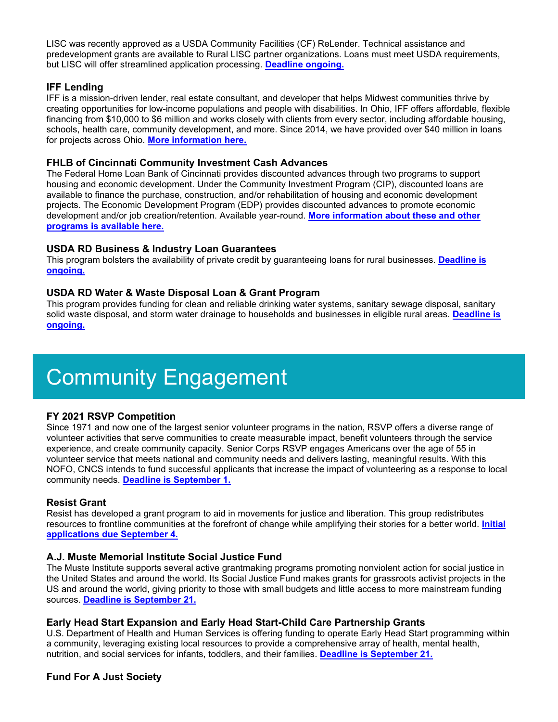LISC was recently approved as a USDA Community Facilities (CF) ReLender. Technical assistance and predevelopment grants are available to Rural LISC partner organizations. Loans must meet USDA requirements, but LISC will offer streamlined application processing. **[Deadline ongoing.](https://urldefense.com/v3/__http:/r20.rs6.net/tn.jsp?f=001h9vyfzol1BSEIS-mBzjpra-WVxQ-ddQJE_1yQh72iR6qs0mhRQQMU59b_rmKK5XhsdX5h6k1dglNab80DHj2xe6KN-69i199cxvrpZF6RJw_4lJHYJaicWicEpQKw_neCQe7HVKHVg4vN-CNxC-ntqZcmnkw2Jnsv5zNjbT8T6uRKUZ8KSs8IGaLc361Evkk2SH_VrXcvpuctWvnZRghyWTiDeWklKDQR2F_elP4Twgvs4n2MwnYLgrRfJ53AiJUcuM0ZwppcxI40HY-yEaxkHMu98PeHGkO3lw1apszN0lknC02FAihbQL-KRFLQpQT&c=QtFFxOhY9hN3_Ei1utBzZbbCYOKXyGTIpHbA7dJezGAITs5-38N42A==&ch=Ai6ltNs1cEnwmvB4LVP_OJYhQkrgJg1h_GLiAD8-PzQFdbamti9UgQ==__;!!KGKeukY!j54IRA47F6L7ZJUPSLUxMn31QQxfgWXZjIlvDHedFIJzSjUjODv-i32TO0__4MQniQ$)**

#### **IFF Lending**

IFF is a mission-driven lender, real estate consultant, and developer that helps Midwest communities thrive by creating opportunities for low-income populations and people with disabilities. In Ohio, IFF offers affordable, flexible financing from \$10,000 to \$6 million and works closely with clients from every sector, including affordable housing, schools, health care, community development, and more. Since 2014, we have provided over \$40 million in loans for projects across Ohio. **[More information here.](https://urldefense.com/v3/__http:/r20.rs6.net/tn.jsp?f=001h9vyfzol1BSEIS-mBzjpra-WVxQ-ddQJE_1yQh72iR6qs0mhRQQMU2ER8J4i69hUrMjo4DXRIuO55hKh-XCzAQT6H8_LwmbPWkiJAzwUqDT22b1OKP48Ni9Xte6edbbVBJr1trj1lLYnd3RYa7y5C74ZHQZdtEpF&c=QtFFxOhY9hN3_Ei1utBzZbbCYOKXyGTIpHbA7dJezGAITs5-38N42A==&ch=Ai6ltNs1cEnwmvB4LVP_OJYhQkrgJg1h_GLiAD8-PzQFdbamti9UgQ==__;!!KGKeukY!j54IRA47F6L7ZJUPSLUxMn31QQxfgWXZjIlvDHedFIJzSjUjODv-i32TO08JVp6hAA$)**

#### **FHLB of Cincinnati Community Investment Cash Advances**

The Federal Home Loan Bank of Cincinnati provides discounted advances through two programs to support housing and economic development. Under the Community Investment Program (CIP), discounted loans are available to finance the purchase, construction, and/or rehabilitation of housing and economic development projects. The Economic Development Program (EDP) provides discounted advances to promote economic development and/or job creation/retention. Available year-round. **[More information about these and other](https://urldefense.com/v3/__http:/r20.rs6.net/tn.jsp?f=001h9vyfzol1BSEIS-mBzjpra-WVxQ-ddQJE_1yQh72iR6qs0mhRQQMU4Zbyfm41VcNqFAYo0MkSgITNxtMj2ADiwMgImE1c9cCFdY1uvYjr7WP2tb5__FAVDeRLPh-FD3WysOjvgD28TE0nZgAQGUrnoS6eAQkJ-I157lx-CO3ng3v6mlMdFYjQ9X2D4NxcA_0z9uXt8yFwL4=&c=QtFFxOhY9hN3_Ei1utBzZbbCYOKXyGTIpHbA7dJezGAITs5-38N42A==&ch=Ai6ltNs1cEnwmvB4LVP_OJYhQkrgJg1h_GLiAD8-PzQFdbamti9UgQ==__;!!KGKeukY!j54IRA47F6L7ZJUPSLUxMn31QQxfgWXZjIlvDHedFIJzSjUjODv-i32TO0_aAOIVOw$)  [programs is available here.](https://urldefense.com/v3/__http:/r20.rs6.net/tn.jsp?f=001h9vyfzol1BSEIS-mBzjpra-WVxQ-ddQJE_1yQh72iR6qs0mhRQQMU4Zbyfm41VcNqFAYo0MkSgITNxtMj2ADiwMgImE1c9cCFdY1uvYjr7WP2tb5__FAVDeRLPh-FD3WysOjvgD28TE0nZgAQGUrnoS6eAQkJ-I157lx-CO3ng3v6mlMdFYjQ9X2D4NxcA_0z9uXt8yFwL4=&c=QtFFxOhY9hN3_Ei1utBzZbbCYOKXyGTIpHbA7dJezGAITs5-38N42A==&ch=Ai6ltNs1cEnwmvB4LVP_OJYhQkrgJg1h_GLiAD8-PzQFdbamti9UgQ==__;!!KGKeukY!j54IRA47F6L7ZJUPSLUxMn31QQxfgWXZjIlvDHedFIJzSjUjODv-i32TO0_aAOIVOw$)**

#### **USDA RD Business & Industry Loan Guarantees**

This program bolsters the availability of private credit by guaranteeing loans for rural businesses. **[Deadline is](https://urldefense.com/v3/__http:/r20.rs6.net/tn.jsp?f=001h9vyfzol1BSEIS-mBzjpra-WVxQ-ddQJE_1yQh72iR6qs0mhRQQMUzRAJ5N0CM_4d-iyWq3BGanCWRMBUKRK9O6Clj_a4Vnd3MPS6Slbd-b9zfq2ZNDtXYY0sWKbtzn5V2sxOmxgPPre1IogJenlIWPxwgUGZx7tuxMJb0lR4Vpqk-Ndll52of8w-_oF8A1Cuwax_u-sDJusOB4_toNkdB7zVufJUZhQ2enORRDyooceWbhY62RQaw==&c=QtFFxOhY9hN3_Ei1utBzZbbCYOKXyGTIpHbA7dJezGAITs5-38N42A==&ch=Ai6ltNs1cEnwmvB4LVP_OJYhQkrgJg1h_GLiAD8-PzQFdbamti9UgQ==__;!!KGKeukY!j54IRA47F6L7ZJUPSLUxMn31QQxfgWXZjIlvDHedFIJzSjUjODv-i32TO09KtRZ2FQ$)  [ongoing.](https://urldefense.com/v3/__http:/r20.rs6.net/tn.jsp?f=001h9vyfzol1BSEIS-mBzjpra-WVxQ-ddQJE_1yQh72iR6qs0mhRQQMUzRAJ5N0CM_4d-iyWq3BGanCWRMBUKRK9O6Clj_a4Vnd3MPS6Slbd-b9zfq2ZNDtXYY0sWKbtzn5V2sxOmxgPPre1IogJenlIWPxwgUGZx7tuxMJb0lR4Vpqk-Ndll52of8w-_oF8A1Cuwax_u-sDJusOB4_toNkdB7zVufJUZhQ2enORRDyooceWbhY62RQaw==&c=QtFFxOhY9hN3_Ei1utBzZbbCYOKXyGTIpHbA7dJezGAITs5-38N42A==&ch=Ai6ltNs1cEnwmvB4LVP_OJYhQkrgJg1h_GLiAD8-PzQFdbamti9UgQ==__;!!KGKeukY!j54IRA47F6L7ZJUPSLUxMn31QQxfgWXZjIlvDHedFIJzSjUjODv-i32TO09KtRZ2FQ$)**

#### **USDA RD Water & Waste Disposal Loan & Grant Program**

This program provides funding for clean and reliable drinking water systems, sanitary sewage disposal, sanitary solid waste disposal, and storm water drainage to households and businesses in eligible rural areas. **[Deadline is](https://urldefense.com/v3/__http:/r20.rs6.net/tn.jsp?f=001h9vyfzol1BSEIS-mBzjpra-WVxQ-ddQJE_1yQh72iR6qs0mhRQQMUzRAJ5N0CM_4BLy4GnROKMErd6KnSDQtDLxcNyZA-96ZDUReKZenMN1ZKsh6gLrtHYvPrU9Ykclt8R8ZOlHqL2GLuI9bnxtZBwPasVXqZ_FZ9lSqB349U3Jhzu6gozGEY6ALNGwisxlFFm2H5Elj_niaSKYcGvf3y69JI6mLsiE6TDvbzAFUt1ArkThAIZZydbLxV--JoDmD&c=QtFFxOhY9hN3_Ei1utBzZbbCYOKXyGTIpHbA7dJezGAITs5-38N42A==&ch=Ai6ltNs1cEnwmvB4LVP_OJYhQkrgJg1h_GLiAD8-PzQFdbamti9UgQ==__;!!KGKeukY!j54IRA47F6L7ZJUPSLUxMn31QQxfgWXZjIlvDHedFIJzSjUjODv-i32TO0-VyAZ9Qg$)  [ongoing.](https://urldefense.com/v3/__http:/r20.rs6.net/tn.jsp?f=001h9vyfzol1BSEIS-mBzjpra-WVxQ-ddQJE_1yQh72iR6qs0mhRQQMUzRAJ5N0CM_4BLy4GnROKMErd6KnSDQtDLxcNyZA-96ZDUReKZenMN1ZKsh6gLrtHYvPrU9Ykclt8R8ZOlHqL2GLuI9bnxtZBwPasVXqZ_FZ9lSqB349U3Jhzu6gozGEY6ALNGwisxlFFm2H5Elj_niaSKYcGvf3y69JI6mLsiE6TDvbzAFUt1ArkThAIZZydbLxV--JoDmD&c=QtFFxOhY9hN3_Ei1utBzZbbCYOKXyGTIpHbA7dJezGAITs5-38N42A==&ch=Ai6ltNs1cEnwmvB4LVP_OJYhQkrgJg1h_GLiAD8-PzQFdbamti9UgQ==__;!!KGKeukY!j54IRA47F6L7ZJUPSLUxMn31QQxfgWXZjIlvDHedFIJzSjUjODv-i32TO0-VyAZ9Qg$)**

# Community Engagement

#### **FY 2021 RSVP Competition**

Since 1971 and now one of the largest senior volunteer programs in the nation, RSVP offers a diverse range of volunteer activities that serve communities to create measurable impact, benefit volunteers through the service experience, and create community capacity. Senior Corps RSVP engages Americans over the age of 55 in volunteer service that meets national and community needs and delivers lasting, meaningful results. With this NOFO, CNCS intends to fund successful applicants that increase the impact of volunteering as a response to local community needs. **[Deadline is September 1.](https://urldefense.com/v3/__http:/r20.rs6.net/tn.jsp?f=001h9vyfzol1BSEIS-mBzjpra-WVxQ-ddQJE_1yQh72iR6qs0mhRQQMU4reBBMNOhQYpkf4DGkBfxckj_b544EW2uUJ139Ps4-llMGAcHEQkXQcZl_bkjV5UjuMsHysYH9T1mhn9Xvj4ueqIN6KMz_2Xnk2E4JPXqduzq2DFoTNruyyGPYNJ0Fcm_7Ku0kb3_b9NMyuCMfCiQ8=&c=QtFFxOhY9hN3_Ei1utBzZbbCYOKXyGTIpHbA7dJezGAITs5-38N42A==&ch=Ai6ltNs1cEnwmvB4LVP_OJYhQkrgJg1h_GLiAD8-PzQFdbamti9UgQ==__;!!KGKeukY!j54IRA47F6L7ZJUPSLUxMn31QQxfgWXZjIlvDHedFIJzSjUjODv-i32TO09-Tp7BPg$)**

#### **Resist Grant**

Resist has developed a grant program to aid in movements for justice and liberation. This group redistributes resources to frontline communities at the forefront of change while amplifying their stories for a better world. **[Initial](https://urldefense.com/v3/__http:/r20.rs6.net/tn.jsp?f=001h9vyfzol1BSEIS-mBzjpra-WVxQ-ddQJE_1yQh72iR6qs0mhRQQMU7o3BrsD7MxcJuqvDtYV7c3MqXdCXCamtuY9S1RWJUu2w7yFtgw0-E4UxZW94XU6stCviuCYo4tlQlP0Gl4E60Y2Vmq1gEipbCcvMZxq8t6UgdBARWPzbntziB3BG5fmyDTx3JkmRd6IfLN1HHbYLUQ=&c=QtFFxOhY9hN3_Ei1utBzZbbCYOKXyGTIpHbA7dJezGAITs5-38N42A==&ch=Ai6ltNs1cEnwmvB4LVP_OJYhQkrgJg1h_GLiAD8-PzQFdbamti9UgQ==__;!!KGKeukY!j54IRA47F6L7ZJUPSLUxMn31QQxfgWXZjIlvDHedFIJzSjUjODv-i32TO0_pKOa9sg$)  [applications due September 4.](https://urldefense.com/v3/__http:/r20.rs6.net/tn.jsp?f=001h9vyfzol1BSEIS-mBzjpra-WVxQ-ddQJE_1yQh72iR6qs0mhRQQMU7o3BrsD7MxcJuqvDtYV7c3MqXdCXCamtuY9S1RWJUu2w7yFtgw0-E4UxZW94XU6stCviuCYo4tlQlP0Gl4E60Y2Vmq1gEipbCcvMZxq8t6UgdBARWPzbntziB3BG5fmyDTx3JkmRd6IfLN1HHbYLUQ=&c=QtFFxOhY9hN3_Ei1utBzZbbCYOKXyGTIpHbA7dJezGAITs5-38N42A==&ch=Ai6ltNs1cEnwmvB4LVP_OJYhQkrgJg1h_GLiAD8-PzQFdbamti9UgQ==__;!!KGKeukY!j54IRA47F6L7ZJUPSLUxMn31QQxfgWXZjIlvDHedFIJzSjUjODv-i32TO0_pKOa9sg$)**

#### **A.J. Muste Memorial Institute Social Justice Fund**

The Muste Institute supports several active grantmaking programs promoting nonviolent action for social justice in the United States and around the world. Its Social Justice Fund makes grants for grassroots activist projects in the US and around the world, giving priority to those with small budgets and little access to more mainstream funding sources. **[Deadline is September 21.](https://urldefense.com/v3/__http:/r20.rs6.net/tn.jsp?f=001h9vyfzol1BSEIS-mBzjpra-WVxQ-ddQJE_1yQh72iR6qs0mhRQQMU3RxzuVer235zitdeBxun0ilUy8HPkCmIv9-4V77q2AHz1pR6qEkVi75Dk8CgAP17wetSIXYMj-x8ToSOFR8GCSkA_j43UKUEI5j0lk5uD6VzuwcV3x4gZcd3C9g_9G6j972oOmh3FIn&c=QtFFxOhY9hN3_Ei1utBzZbbCYOKXyGTIpHbA7dJezGAITs5-38N42A==&ch=Ai6ltNs1cEnwmvB4LVP_OJYhQkrgJg1h_GLiAD8-PzQFdbamti9UgQ==__;!!KGKeukY!j54IRA47F6L7ZJUPSLUxMn31QQxfgWXZjIlvDHedFIJzSjUjODv-i32TO08v7AHgYg$)**

#### **Early Head Start Expansion and Early Head Start-Child Care Partnership Grants**

U.S. Department of Health and Human Services is offering funding to operate Early Head Start programming within a community, leveraging existing local resources to provide a comprehensive array of health, mental health, nutrition, and social services for infants, toddlers, and their families. **[Deadline is September 21.](https://urldefense.com/v3/__http:/r20.rs6.net/tn.jsp?f=001h9vyfzol1BSEIS-mBzjpra-WVxQ-ddQJE_1yQh72iR6qs0mhRQQMU_BE_2e0OL95Nlh_n4X_uJUpgrQ8YrAoEA7urIrogV8catgng6dcZz03kRkLg69B2GD8iyPzfiHGtsmbwpDosAYS9bGY-m7th4gKY_Fd30VzvoqHZ7tGZJF86z9qwrleY0v07zMPddyAht9hXYa0L-mj-trft3cEqw==&c=QtFFxOhY9hN3_Ei1utBzZbbCYOKXyGTIpHbA7dJezGAITs5-38N42A==&ch=Ai6ltNs1cEnwmvB4LVP_OJYhQkrgJg1h_GLiAD8-PzQFdbamti9UgQ==__;!!KGKeukY!j54IRA47F6L7ZJUPSLUxMn31QQxfgWXZjIlvDHedFIJzSjUjODv-i32TO09cg1lm8A$)**

#### **Fund For A Just Society**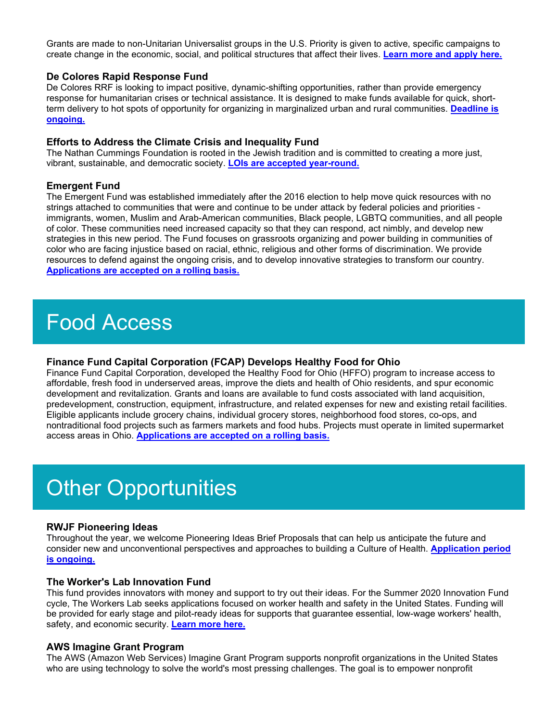Grants are made to non-Unitarian Universalist groups in the U.S. Priority is given to active, specific campaigns to create change in the economic, social, and political structures that affect their lives. **[Learn more and apply here.](https://urldefense.com/v3/__http:/r20.rs6.net/tn.jsp?f=001h9vyfzol1BSEIS-mBzjpra-WVxQ-ddQJE_1yQh72iR6qs0mhRQQMUyoKNpOOLBB23Nii5sTU352O1u-rz-JLOKpSmwL4kf0RL8kUrJ57sdN_MraidMLd30VCAeMEBO050BS4ahW39kca2z8NDXomZPhliD_iXKeUJy7H-iM-E4XGmsPSVO3xfsKwbZTbee6rogZlS_asHieQQBsDpW2_sg==&c=QtFFxOhY9hN3_Ei1utBzZbbCYOKXyGTIpHbA7dJezGAITs5-38N42A==&ch=Ai6ltNs1cEnwmvB4LVP_OJYhQkrgJg1h_GLiAD8-PzQFdbamti9UgQ==__;!!KGKeukY!j54IRA47F6L7ZJUPSLUxMn31QQxfgWXZjIlvDHedFIJzSjUjODv-i32TO08IBsZkxQ$)**

#### **De Colores Rapid Response Fund**

De Colores RRF is looking to impact positive, dynamic-shifting opportunities, rather than provide emergency response for humanitarian crises or technical assistance. It is designed to make funds available for quick, shortterm delivery to hot spots of opportunity for organizing in marginalized urban and rural communities. **[Deadline is](https://urldefense.com/v3/__http:/r20.rs6.net/tn.jsp?f=001h9vyfzol1BSEIS-mBzjpra-WVxQ-ddQJE_1yQh72iR6qs0mhRQQMU1ypTQ70KmFwafAsfinVgi1CA4cuxmkowGy-Pk0yitQNxAdpbFEsBmq73ZHACiqCliLYHPrGfsIGoO7mP7n46n6JO3wZ8HRXcKKRsQVjAdd2FLfWnPOflYpMyu6YgKOkL6t3onQ6-CIskajwkYu1ot-AcYELLu11QH4Q6dCXEwBilYwcwrZ2P1ByCv-LNjhy2CY9fwfYTuFDAIJdN5WtVQo=&c=QtFFxOhY9hN3_Ei1utBzZbbCYOKXyGTIpHbA7dJezGAITs5-38N42A==&ch=Ai6ltNs1cEnwmvB4LVP_OJYhQkrgJg1h_GLiAD8-PzQFdbamti9UgQ==__;!!KGKeukY!j54IRA47F6L7ZJUPSLUxMn31QQxfgWXZjIlvDHedFIJzSjUjODv-i32TO09IMVTrVw$)  [ongoing.](https://urldefense.com/v3/__http:/r20.rs6.net/tn.jsp?f=001h9vyfzol1BSEIS-mBzjpra-WVxQ-ddQJE_1yQh72iR6qs0mhRQQMU1ypTQ70KmFwafAsfinVgi1CA4cuxmkowGy-Pk0yitQNxAdpbFEsBmq73ZHACiqCliLYHPrGfsIGoO7mP7n46n6JO3wZ8HRXcKKRsQVjAdd2FLfWnPOflYpMyu6YgKOkL6t3onQ6-CIskajwkYu1ot-AcYELLu11QH4Q6dCXEwBilYwcwrZ2P1ByCv-LNjhy2CY9fwfYTuFDAIJdN5WtVQo=&c=QtFFxOhY9hN3_Ei1utBzZbbCYOKXyGTIpHbA7dJezGAITs5-38N42A==&ch=Ai6ltNs1cEnwmvB4LVP_OJYhQkrgJg1h_GLiAD8-PzQFdbamti9UgQ==__;!!KGKeukY!j54IRA47F6L7ZJUPSLUxMn31QQxfgWXZjIlvDHedFIJzSjUjODv-i32TO09IMVTrVw$)**

#### **Efforts to Address the Climate Crisis and Inequality Fund**

The Nathan Cummings Foundation is rooted in the Jewish tradition and is committed to creating a more just, vibrant, sustainable, and democratic society. **[LOIs are accepted year-round.](https://urldefense.com/v3/__http:/r20.rs6.net/tn.jsp?f=001h9vyfzol1BSEIS-mBzjpra-WVxQ-ddQJE_1yQh72iR6qs0mhRQQMUwwlTqy3E-PWqx5CQiIKLSYo5tbJkr3O7lQxSeLLc4FKdWx090j4-WeJD4iV1cx29yg3uHfGwPE8k9kGEC-V0Rs37P5uj8ONWTa3Otx8JqBJt81Iqhqm-9l-7fxWPUyjimzptl3NvG4BlmMpdjLWi2c=&c=QtFFxOhY9hN3_Ei1utBzZbbCYOKXyGTIpHbA7dJezGAITs5-38N42A==&ch=Ai6ltNs1cEnwmvB4LVP_OJYhQkrgJg1h_GLiAD8-PzQFdbamti9UgQ==__;!!KGKeukY!j54IRA47F6L7ZJUPSLUxMn31QQxfgWXZjIlvDHedFIJzSjUjODv-i32TO0_s6YR9kA$)**

#### **Emergent Fund**

The Emergent Fund was established immediately after the 2016 election to help move quick resources with no strings attached to communities that were and continue to be under attack by federal policies and priorities immigrants, women, Muslim and Arab-American communities, Black people, LGBTQ communities, and all people of color. These communities need increased capacity so that they can respond, act nimbly, and develop new strategies in this new period. The Fund focuses on grassroots organizing and power building in communities of color who are facing injustice based on racial, ethnic, religious and other forms of discrimination. We provide resources to defend against the ongoing crisis, and to develop innovative strategies to transform our country. **[Applications are accepted on a rolling basis.](https://urldefense.com/v3/__http:/r20.rs6.net/tn.jsp?f=001h9vyfzol1BSEIS-mBzjpra-WVxQ-ddQJE_1yQh72iR6qs0mhRQQMU9IHd9drjceyejXX7Zj3dkIWS3LeqYWd_DlSwhUlTAHAL8T0a-0RaDBKxAhg9CbyHOmPsNOwh4kvJyHt560LXsfAtEBRibwIsEvOPIUtPtB7sNW7nPX-VWzkUap6w3i6qQ==&c=QtFFxOhY9hN3_Ei1utBzZbbCYOKXyGTIpHbA7dJezGAITs5-38N42A==&ch=Ai6ltNs1cEnwmvB4LVP_OJYhQkrgJg1h_GLiAD8-PzQFdbamti9UgQ==__;!!KGKeukY!j54IRA47F6L7ZJUPSLUxMn31QQxfgWXZjIlvDHedFIJzSjUjODv-i32TO0_PokFW7w$)**

### Food Access

#### **Finance Fund Capital Corporation (FCAP) Develops Healthy Food for Ohio**

Finance Fund Capital Corporation, developed the Healthy Food for Ohio (HFFO) program to increase access to affordable, fresh food in underserved areas, improve the diets and health of Ohio residents, and spur economic development and revitalization. Grants and loans are available to fund costs associated with land acquisition, predevelopment, construction, equipment, infrastructure, and related expenses for new and existing retail facilities. Eligible applicants include grocery chains, individual grocery stores, neighborhood food stores, co-ops, and nontraditional food projects such as farmers markets and food hubs. Projects must operate in limited supermarket access areas in Ohio. **[Applications are accepted on a rolling basis.](https://urldefense.com/v3/__http:/r20.rs6.net/tn.jsp?f=001h9vyfzol1BSEIS-mBzjpra-WVxQ-ddQJE_1yQh72iR6qs0mhRQQMU07FNyuJ9382SfvSyTlfFnkvZzT-_kTDs2tFiopAcuOsQSx5ws7JuOcB4Vs6COuSerxXxpRwGKYC2WHI_FR9wjuYhl0s5i8G8N3NKDTSIwT-hwcaIg-DkdYWATSfE9PXxTVKW7TjZRUd2CSj3jKD-whRNHm6MHuXuNBiUnBOU0k8VXe_WV68Qtc=&c=QtFFxOhY9hN3_Ei1utBzZbbCYOKXyGTIpHbA7dJezGAITs5-38N42A==&ch=Ai6ltNs1cEnwmvB4LVP_OJYhQkrgJg1h_GLiAD8-PzQFdbamti9UgQ==__;!!KGKeukY!j54IRA47F6L7ZJUPSLUxMn31QQxfgWXZjIlvDHedFIJzSjUjODv-i32TO08egv2L2g$)**

### **Other Opportunities**

#### **RWJF Pioneering Ideas**

Throughout the year, we welcome Pioneering Ideas Brief Proposals that can help us anticipate the future and consider new and unconventional perspectives and approaches to building a Culture of Health. **[Application period](https://urldefense.com/v3/__http:/r20.rs6.net/tn.jsp?f=001h9vyfzol1BSEIS-mBzjpra-WVxQ-ddQJE_1yQh72iR6qs0mhRQQMU59b_rmKK5XhUy63NJc-q05kkO4r7Fbxyub6duj1xfOokU9VzFJUZf292krMmipp1ePAh45tsly-szbclb5t_WEtbh-2EVMMEExLT2RSRkxiQhhxaGcVaM0gnnky26O1_OWSgN1ugai8rHnDqOz18uMtDZCCKJ8uAL45LG4Qz1wVro4u7ykjvYEa-s9fgZzbI5L-kbSbOHRIAOZel4glMDrcB7auF983I0EnetzaVi6yxhoG3N6ug1zYSp9jv-d3xL2SrZnKhodT7aG_sg1uB7U=&c=QtFFxOhY9hN3_Ei1utBzZbbCYOKXyGTIpHbA7dJezGAITs5-38N42A==&ch=Ai6ltNs1cEnwmvB4LVP_OJYhQkrgJg1h_GLiAD8-PzQFdbamti9UgQ==__;!!KGKeukY!j54IRA47F6L7ZJUPSLUxMn31QQxfgWXZjIlvDHedFIJzSjUjODv-i32TO0_rCpTDlw$)  [is ongoing.](https://urldefense.com/v3/__http:/r20.rs6.net/tn.jsp?f=001h9vyfzol1BSEIS-mBzjpra-WVxQ-ddQJE_1yQh72iR6qs0mhRQQMU59b_rmKK5XhUy63NJc-q05kkO4r7Fbxyub6duj1xfOokU9VzFJUZf292krMmipp1ePAh45tsly-szbclb5t_WEtbh-2EVMMEExLT2RSRkxiQhhxaGcVaM0gnnky26O1_OWSgN1ugai8rHnDqOz18uMtDZCCKJ8uAL45LG4Qz1wVro4u7ykjvYEa-s9fgZzbI5L-kbSbOHRIAOZel4glMDrcB7auF983I0EnetzaVi6yxhoG3N6ug1zYSp9jv-d3xL2SrZnKhodT7aG_sg1uB7U=&c=QtFFxOhY9hN3_Ei1utBzZbbCYOKXyGTIpHbA7dJezGAITs5-38N42A==&ch=Ai6ltNs1cEnwmvB4LVP_OJYhQkrgJg1h_GLiAD8-PzQFdbamti9UgQ==__;!!KGKeukY!j54IRA47F6L7ZJUPSLUxMn31QQxfgWXZjIlvDHedFIJzSjUjODv-i32TO0_rCpTDlw$)**

#### **The Worker's Lab Innovation Fund**

This fund provides innovators with money and support to try out their ideas. For the Summer 2020 Innovation Fund cycle, The Workers Lab seeks applications focused on worker health and safety in the United States. Funding will be provided for early stage and pilot-ready ideas for supports that guarantee essential, low-wage workers' health, safety, and economic security. **[Learn more here.](https://urldefense.com/v3/__http:/r20.rs6.net/tn.jsp?f=001h9vyfzol1BSEIS-mBzjpra-WVxQ-ddQJE_1yQh72iR6qs0mhRQQMU_BE_2e0OL9548L3W3KB5dX-TDDqwICk01aB4UeXAN-qOaMrrFLOZ-KvBiGR_ZJ79qghw20ULu7NzXKMvoFJ2gUXjSwjY5D6ccPCYX37U2ooWpce0f_VKwT3qomOeoiOp5XG5Dayi7_KgZbhxlCPI5I=&c=QtFFxOhY9hN3_Ei1utBzZbbCYOKXyGTIpHbA7dJezGAITs5-38N42A==&ch=Ai6ltNs1cEnwmvB4LVP_OJYhQkrgJg1h_GLiAD8-PzQFdbamti9UgQ==__;!!KGKeukY!j54IRA47F6L7ZJUPSLUxMn31QQxfgWXZjIlvDHedFIJzSjUjODv-i32TO0-9m3Yk4Q$)**

#### **AWS Imagine Grant Program**

The AWS (Amazon Web Services) Imagine Grant Program supports nonprofit organizations in the United States who are using technology to solve the world's most pressing challenges. The goal is to empower nonprofit